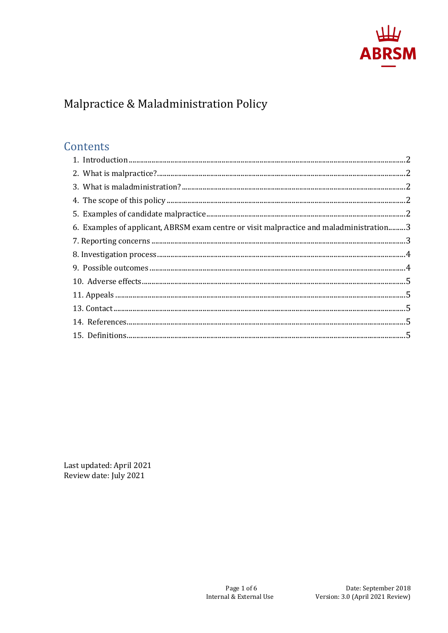

# Malpractice & Maladministration Policy

# Contents

| 6. Examples of applicant, ABRSM exam centre or visit malpractice and maladministration3 |  |
|-----------------------------------------------------------------------------------------|--|
|                                                                                         |  |
|                                                                                         |  |
|                                                                                         |  |
|                                                                                         |  |
|                                                                                         |  |
|                                                                                         |  |
|                                                                                         |  |
|                                                                                         |  |

Last updated: April 2021 Review date: July 2021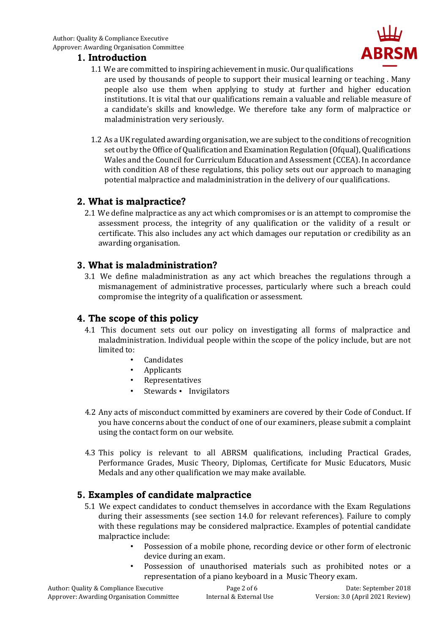### <span id="page-1-0"></span>**1. Introduction**

1.1 We are committed to inspiring achievement in music. Our qualifications

are used by thousands of people to support their musical learning or teaching . Many people also use them when applying to study at further and higher education institutions. It is vital that our qualifications remain a valuable and reliable measure of a candidate's skills and knowledge. We therefore take any form of malpractice or maladministration very seriously.

1.2 As a UK regulated awarding organisation, we are subject to the conditions of recognition set out by the Office of Qualification and Examination Regulation (Ofqual), Qualifications Wales and the Council for Curriculum Education and Assessment (CCEA). In accordance with condition A8 of these regulations, this policy sets out our approach to managing potential malpractice and maladministration in the delivery of our qualifications.

### <span id="page-1-1"></span>**2. What is malpractice?**

2.1 We define malpractice as any act which compromises or is an attempt to compromise the assessment process, the integrity of any qualification or the validity of a result or certificate. This also includes any act which damages our reputation or credibility as an awarding organisation.

#### <span id="page-1-2"></span>**3. What is maladministration?**

3.1 We define maladministration as any act which breaches the regulations through a mismanagement of administrative processes, particularly where such a breach could compromise the integrity of a qualification or assessment.

### <span id="page-1-3"></span>**4. The scope of this policy**

- 4.1 This document sets out our policy on investigating all forms of malpractice and maladministration. Individual people within the scope of the policy include, but are not limited to:
	- **Candidates**
	- Applicants
	- **Representatives**
	- Stewards Invigilators
- 4.2 Any acts of misconduct committed by examiners are covered by their Code of Conduct. If you have concerns about the conduct of one of our examiners, please submit a complaint using the contact form on our website.
- 4.3 This policy is relevant to all ABRSM qualifications, including Practical Grades, Performance Grades, Music Theory, Diplomas, Certificate for Music Educators, Music Medals and any other qualification we may make available.

### <span id="page-1-4"></span>**5. Examples of candidate malpractice**

- 5.1 We expect candidates to conduct themselves in accordance with the Exam Regulations during their assessments (see section 14.0 for relevant references). Failure to comply with these regulations may be considered malpractice. Examples of potential candidate malpractice include:
	- Possession of a mobile phone, recording device or other form of electronic device during an exam.
	- Possession of unauthorised materials such as prohibited notes or a representation of a piano keyboard in a Music Theory exam.

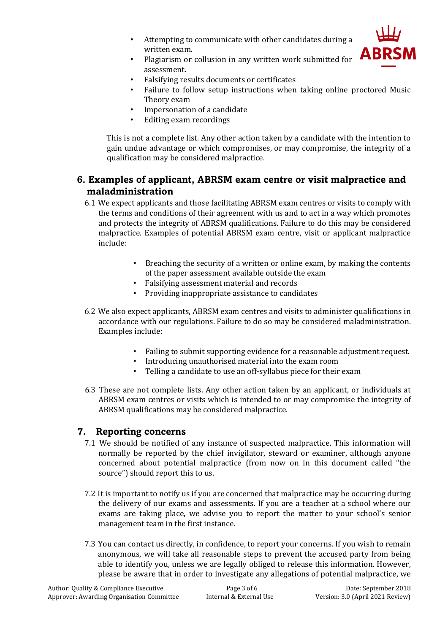• Attempting to communicate with other candidates during a written exam.



- Plagiarism or collusion in any written work submitted for assessment.
- Falsifying results documents or certificates
- Failure to follow setup instructions when taking online proctored Music Theory exam
- Impersonation of a candidate
- Editing exam recordings

This is not a complete list. Any other action taken by a candidate with the intention to gain undue advantage or which compromises, or may compromise, the integrity of a qualification may be considered malpractice.

# <span id="page-2-0"></span>**6. Examples of applicant, ABRSM exam centre or visit malpractice and maladministration**

- 6.1 We expect applicants and those facilitating ABRSM exam centres or visits to comply with the terms and conditions of their agreement with us and to act in a way which promotes and protects the integrity of ABRSM qualifications. Failure to do this may be considered malpractice. Examples of potential ABRSM exam centre, visit or applicant malpractice include:
	- Breaching the security of a written or online exam, by making the contents of the paper assessment available outside the exam
	- Falsifying assessment material and records
	- Providing inappropriate assistance to candidates
- 6.2 We also expect applicants, ABRSM exam centres and visits to administer qualifications in accordance with our regulations. Failure to do so may be considered maladministration. Examples include:
	- Failing to submit supporting evidence for a reasonable adjustment request.
	- Introducing unauthorised material into the exam room
	- Telling a candidate to use an off-syllabus piece for their exam
- 6.3 These are not complete lists. Any other action taken by an applicant, or individuals at ABRSM exam centres or visits which is intended to or may compromise the integrity of ABRSM qualifications may be considered malpractice.

## <span id="page-2-1"></span>**7. Reporting concerns**

- 7.1 We should be notified of any instance of suspected malpractice. This information will normally be reported by the chief invigilator, steward or examiner, although anyone concerned about potential malpractice (from now on in this document called "the source") should report this to us.
- 7.2 It is important to notify us if you are concerned that malpractice may be occurring during the delivery of our exams and assessments. If you are a teacher at a school where our exams are taking place, we advise you to report the matter to your school's senior management team in the first instance.
- 7.3 You can contact us directly, in confidence, to report your concerns. If you wish to remain anonymous, we will take all reasonable steps to prevent the accused party from being able to identify you, unless we are legally obliged to release this information. However, please be aware that in order to investigate any allegations of potential malpractice, we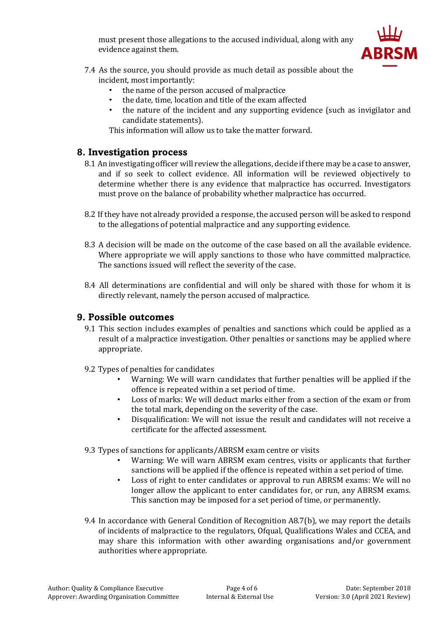must present those allegations to the accused individual, along with any evidence against them.



- 7.4 As the source, you should provide as much detail as possible about the incident, most importantly:
	- the name of the person accused of malpractice
	- the date, time, location and title of the exam affected
	- the nature of the incident and any supporting evidence (such as invigilator and candidate statements).

This information will allow us to take the matter forward.

### <span id="page-3-0"></span>**8. Investigation process**

- 8.1 An investigating officer will review the allegations, decide if there may be a case to answer, and if so seek to collect evidence. All information will be reviewed objectively to determine whether there is any evidence that malpractice has occurred. Investigators must prove on the balance of probability whether malpractice has occurred.
- 8.2 If they have not already provided a response, the accused person will be asked to respond to the allegations of potential malpractice and any supporting evidence.
- 8.3 A decision will be made on the outcome of the case based on all the available evidence. Where appropriate we will apply sanctions to those who have committed malpractice. The sanctions issued will reflect the severity of the case.
- 8.4 All determinations are confidential and will only be shared with those for whom it is directly relevant, namely the person accused of malpractice.

### <span id="page-3-1"></span>**9. Possible outcomes**

- 9.1 This section includes examples of penalties and sanctions which could be applied as a result of a malpractice investigation. Other penalties or sanctions may be applied where appropriate.
- 9.2 Types of penalties for candidates
	- Warning: We will warn candidates that further penalties will be applied if the offence is repeated within a set period of time.
	- Loss of marks: We will deduct marks either from a section of the exam or from the total mark, depending on the severity of the case.
	- Disqualification: We will not issue the result and candidates will not receive a certificate for the affected assessment.

#### 9.3 Types of sanctions for applicants/ABRSM exam centre or visits

- Warning: We will warn ABRSM exam centres, visits or applicants that further sanctions will be applied if the offence is repeated within a set period of time.
- Loss of right to enter candidates or approval to run ABRSM exams: We will no longer allow the applicant to enter candidates for, or run, any ABRSM exams. This sanction may be imposed for a set period of time, or permanently.
- 9.4 In accordance with General Condition of Recognition A8.7(b), we may report the details of incidents of malpractice to the regulators, Ofqual, Qualifications Wales and CCEA, and may share this information with other awarding organisations and/or government authorities where appropriate.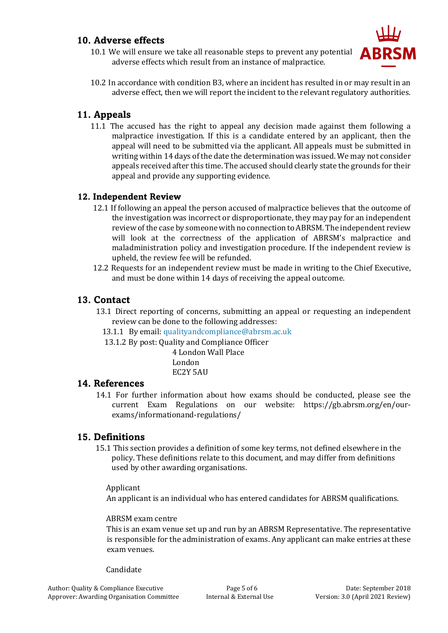### <span id="page-4-0"></span>**10. Adverse effects**



- 10.1 We will ensure we take all reasonable steps to prevent any potential adverse effects which result from an instance of malpractice.
- 10.2 In accordance with condition B3, where an incident has resulted in or may result in an adverse effect, then we will report the incident to the relevant regulatory authorities.

## <span id="page-4-1"></span>**11. Appeals**

11.1 The accused has the right to appeal any decision made against them following a malpractice investigation. If this is a candidate entered by an applicant, then the appeal will need to be submitted via the applicant. All appeals must be submitted in writing within 14 days of the date the determination was issued. We may not consider appeals received after this time. The accused should clearly state the grounds for their appeal and provide any supporting evidence.

### **12. Independent Review**

- 12.1 If following an appeal the person accused of malpractice believes that the outcome of the investigation was incorrect or disproportionate, they may pay for an independent review of the case by someone with no connection to ABRSM. The independent review will look at the correctness of the application of ABRSM's malpractice and maladministration policy and investigation procedure. If the independent review is upheld, the review fee will be refunded.
- 12.2 Requests for an independent review must be made in writing to the Chief Executive, and must be done within 14 days of receiving the appeal outcome.

### <span id="page-4-2"></span>**13. Contact**

- 13.1 Direct reporting of concerns, submitting an appeal or requesting an independent review can be done to the following addresses:
	- 13.1.1 By email: qualityandcompliance@abrsm.ac.uk
	- 13.1.2 By post: Quality and Compliance Officer
		- 4 London Wall Place London EC2Y 5AU

### <span id="page-4-3"></span>**14. References**

14.1 For further information about how exams should be conducted, please see the current Exam Regulations on our website: https://gb.abrsm.org/en/ourexams/informationand-regulations/

### <span id="page-4-4"></span>**15. Definitions**

15.1 This section provides a definition of some key terms, not defined elsewhere in the policy. These definitions relate to this document, and may differ from definitions used by other awarding organisations.

#### Applicant

An applicant is an individual who has entered candidates for ABRSM qualifications.

#### ABRSM exam centre

This is an exam venue set up and run by an ABRSM Representative. The representative is responsible for the administration of exams. Any applicant can make entries at these exam venues.

#### Candidate